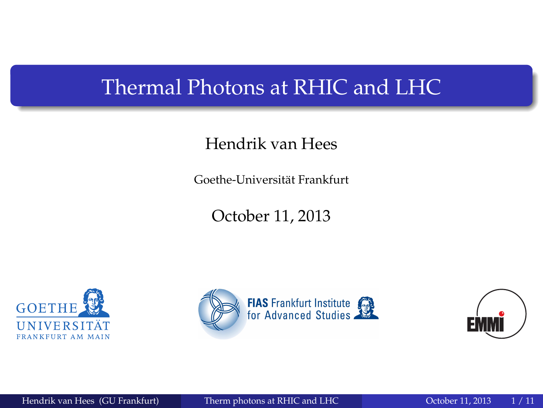#### <span id="page-0-0"></span>Thermal Photons at RHIC and LHC

#### Hendrik van Hees

Goethe-Universität Frankfurt

October 11, 2013





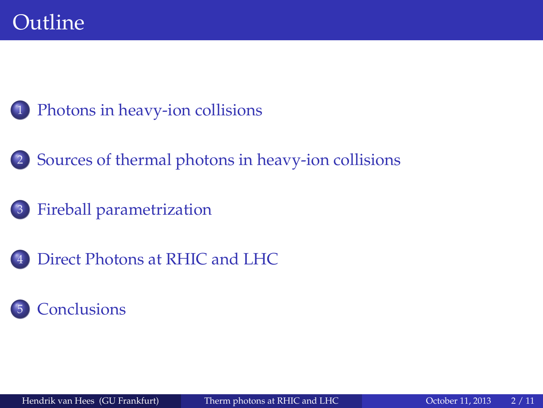- [Photons in heavy-ion collisions](#page-2-0)
- 2 [Sources of thermal photons in heavy-ion collisions](#page-4-0)
	- 3 [Fireball parametrization](#page-5-0)
- [Direct Photons at RHIC and LHC](#page-8-0)

#### **[Conclusions](#page-10-0)**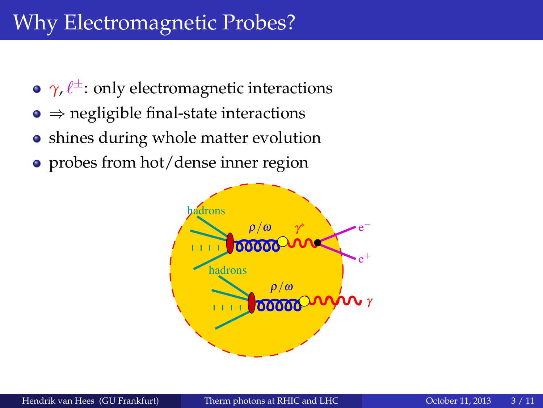# <span id="page-2-0"></span>Why Electromagnetic Probes?

- $\gamma$ ,  $\ell^{\pm}$ : only electromagnetic interactions
- $\bullet \Rightarrow$  negligible final-state interactions
- shines during whole matter evolution
- probes from hot/dense inner region

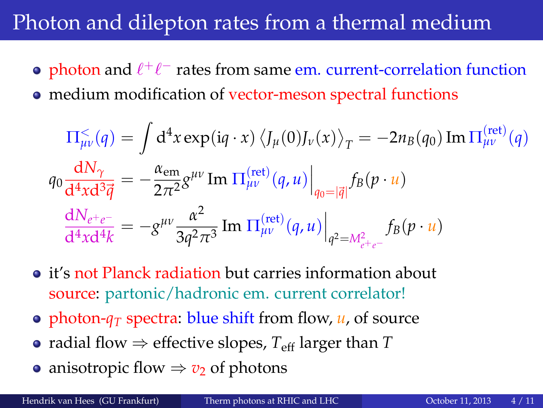## Photon and dilepton rates from a thermal medium

- photon and  $\ell^+\ell^-$  rates from same em. current-correlation function
- medium modification of vector-meson spectral functions

$$
\Pi_{\mu\nu}^{\leq}(q) = \int d^4x \exp(iq \cdot x) \left\langle J_{\mu}(0)J_{\nu}(x) \right\rangle_T = -2n_B(q_0) \operatorname{Im} \Pi_{\mu\nu}^{\text{(ret)}}(q)
$$

$$
q_0 \frac{dN_{\gamma}}{d^4x d^3 \vec{q}} = -\frac{\alpha_{em}}{2\pi^2} g^{\mu\nu} \operatorname{Im} \Pi_{\mu\nu}^{\text{(ret)}}(q, u) \Big|_{q_0 = |\vec{q}|} f_B(p \cdot u)
$$

$$
\frac{dN_{e^+e^-}}{d^4x d^4 k} = -g^{\mu\nu} \frac{\alpha^2}{3q^2 \pi^3} \operatorname{Im} \Pi_{\mu\nu}^{\text{(ret)}}(q, u) \Big|_{q^2 = M_{e^+e^-}^2} f_B(p \cdot u)
$$

- it's not Planck radiation but carries information about source: partonic/hadronic em. current correlator!
- photon- $q_T$  spectra: blue shift from flow,  $u$ , of source
- radial flow  $\Rightarrow$  effective slopes,  $T_{\text{eff}}$  larger than  $T$
- anisotropic flow  $\Rightarrow v_2$  of photons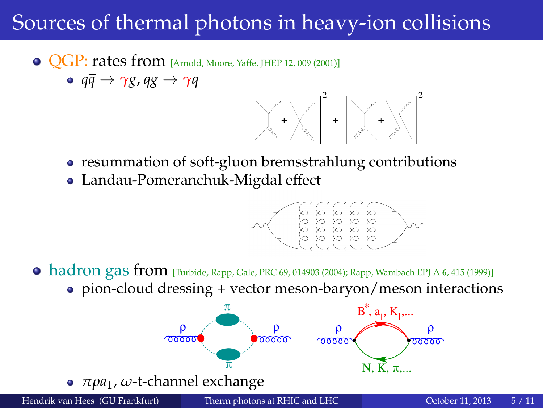# <span id="page-4-0"></span>Sources of thermal photons in heavy-ion collisions

- **QGP: rates from** [Arnold, Moore, Yaffe, JHEP 12, 009 (2001)]
	- $\circ$   $q\bar{q} \rightarrow \gamma g$ ,  $qg \rightarrow \gamma q$



- resummation of soft-gluon bremsstrahlung contributions
- Landau-Pomeranchuk-Migdal effect



hadron gas from [Turbide, Rapp, Gale, PRC 69, 014903 (2004); Rapp, Wambach EPJ A **<sup>6</sup>**, 415 (1999)] pion-cloud dressing + vector meson-baryon/meson interactions

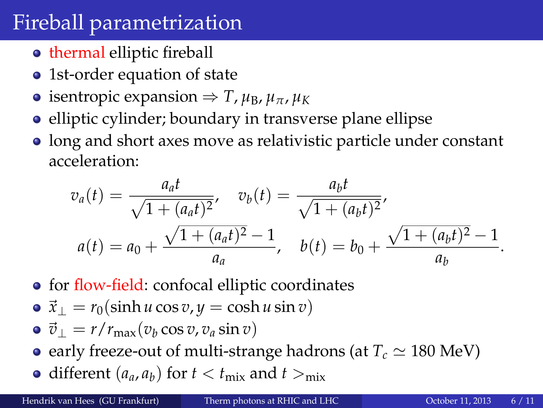## <span id="page-5-0"></span>Fireball parametrization

- **thermal elliptic fireball**
- 1st-order equation of state
- $\bullet$  isentropic expansion  $\Rightarrow$  *T*, *μ*<sub>B</sub>, *μ*<sub>π</sub>, *μ*<sub>K</sub>
- elliptic cylinder; boundary in transverse plane ellipse
- long and short axes move as relativistic particle under constant acceleration:

$$
v_a(t) = \frac{a_a t}{\sqrt{1 + (a_a t)^2}}, \quad v_b(t) = \frac{a_b t}{\sqrt{1 + (a_b t)^2}},
$$
  

$$
a(t) = a_0 + \frac{\sqrt{1 + (a_a t)^2} - 1}{a_a}, \quad b(t) = b_0 + \frac{\sqrt{1 + (a_b t)^2} - 1}{a_b}.
$$

- for flow-field: confocal elliptic coordinates
- $\vec{x}_\perp = r_0(\sinh u \cos v, y = \cosh u \sin v)$
- $\vec{v}_\perp = r/r_{\text{max}}(v_b \cos v, v_a \sin v)$
- early freeze-out of multi-strange hadrons (at  $T_c \simeq 180$  MeV)
- different  $(a_a, a_b)$  for  $t < t_{\text{mix}}$  and  $t >_{\text{mix}}$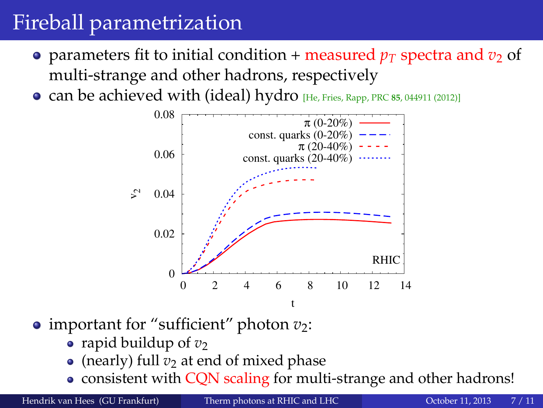# Fireball parametrization

- parameters fit to initial condition + measured  $p_T$  spectra and  $v_2$  of multi-strange and other hadrons, respectively
- can be achieved with (ideal) hydro [He, Fries, Rapp, PRC **<sup>85</sup>**, 044911 (2012)]



- important for "sufficient" photon  $v_2$ :
	- rapid buildup of  $v_2$
	- (nearly) full  $v_2$  at end of mixed phase
	- consistent with CQN scaling for multi-strange and other hadrons!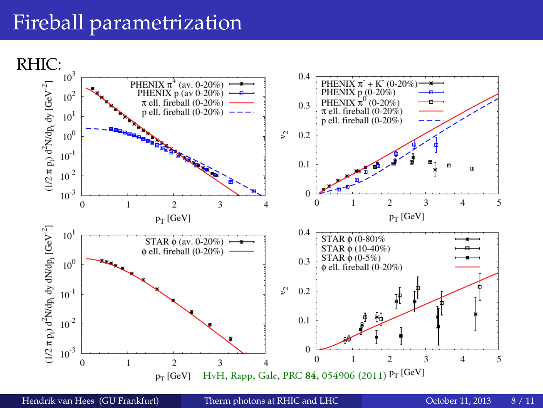## Fireball parametrization



Hendrik van Hees (GU Frankfurt) [Therm photons at RHIC and LHC](#page-0-0) October 11, 2013 8 / 11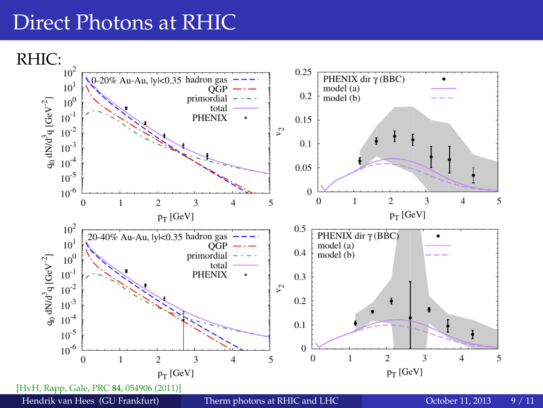### <span id="page-8-0"></span>Direct Photons at RHIC

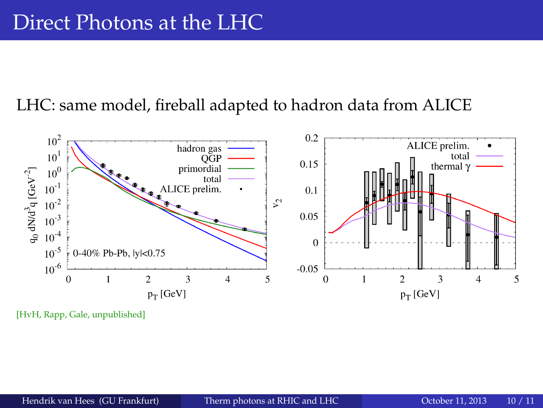#### LHC: same model, fireball adapted to hadron data from ALICE



[HvH, Rapp, Gale, unpublished]